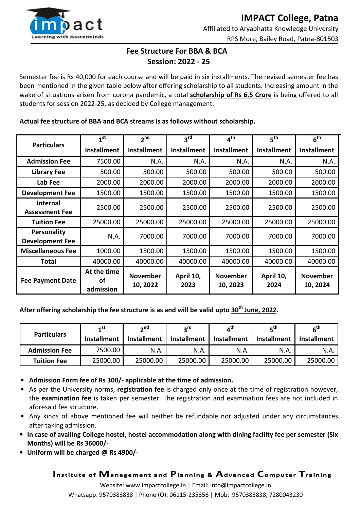

## **Fee Structure For BBA & BCA Session: 2022 - 25**

Semester fee is Rs 40,000 for each course and will be paid in six installments. The revised semester fee has been mentioned in the given table below after offering scholarship to all students. Increasing amount in the wake of situations arisen from corona pandemic, a total **scholarship of Rs 6.5 Crore** is being offered to all students for session 2022-25, as decided by College management.

## **Actual fee structure of BBA and BCA streams is as follows without scholarship.**

| <b>Particulars</b>                           | 1 <sup>st</sup>                | 2 <sup>nd</sup>             | $3^{\text{rd}}$    | $4^{\sf th}$                | 5 <sup>th</sup>    | $6^{\sf th}$                |
|----------------------------------------------|--------------------------------|-----------------------------|--------------------|-----------------------------|--------------------|-----------------------------|
|                                              | <b>Installment</b>             | <b>Installment</b>          | <b>Installment</b> | <b>Installment</b>          | <b>Installment</b> | <b>Installment</b>          |
| <b>Admission Fee</b>                         | 7500.00                        | N.A.                        | N.A.               | N.A.                        | N.A.               | N.A.                        |
| <b>Library Fee</b>                           | 500.00                         | 500.00                      | 500.00             | 500.00                      | 500.00             | 500.00                      |
| Lab Fee                                      | 2000.00                        | 2000.00                     | 2000.00            | 2000.00                     | 2000.00            | 2000.00                     |
| <b>Development Fee</b>                       | 1500.00                        | 1500.00                     | 1500.00            | 1500.00                     | 1500.00            | 1500.00                     |
| <b>Internal</b><br><b>Assessment Fee</b>     | 2500.00                        | 2500.00                     | 2500.00            | 2500.00                     | 2500.00            | 2500.00                     |
| <b>Tuition Fee</b>                           | 25000.00                       | 25000.00                    | 25000.00           | 25000.00                    | 25000.00           | 25000.00                    |
| <b>Personality</b><br><b>Development Fee</b> | N.A.                           | 7000.00                     | 7000.00            | 7000.00                     | 7000.00            | 7000.00                     |
| <b>Miscellaneous Fee</b>                     | 1000.00                        | 1500.00                     | 1500.00            | 1500.00                     | 1500.00            | 1500.00                     |
| Total                                        | 40000.00                       | 40000.00                    | 40000.00           | 40000.00                    | 40000.00           | 40000.00                    |
| <b>Fee Payment Date</b>                      | At the time<br>οf<br>admission | <b>November</b><br>10, 2022 | April 10,<br>2023  | <b>November</b><br>10, 2023 | April 10,<br>2024  | <b>November</b><br>10, 2024 |

**After offering scholarship the fee structure is as and will be valid upto 30th June, 2022.** 

| <b>Particulars</b>   | 1 <sup>st</sup><br><b>Installment</b> | $\mathbf{A}$ nd<br><b>Installment</b> | $2^{\text{rd}}$<br><b>Installment</b> | $\boldsymbol{A}^{\text{th}}$<br><b>Installment</b> | rthـ<br><b>Installment</b> | հ <sup>th</sup><br><b>Installment</b> |
|----------------------|---------------------------------------|---------------------------------------|---------------------------------------|----------------------------------------------------|----------------------------|---------------------------------------|
| <b>Admission Fee</b> | 7500.00                               | N.A.                                  | N.A.                                  | N.A.                                               | N.A.                       | N.A.                                  |
| <b>Tuition Fee</b>   | 25000.00                              | 25000.00                              | 25000.00                              | 25000.00                                           | 25000.00                   | 25000.00                              |

- **Admission Form fee of Rs 300/- applicable at the time of admission.**
- As per the University norms, **registration fee** is charged only once at the time of registration however, the **examination fee** is taken per semester. The registration and examination fees are not included in aforesaid fee structure.
- Any kinds of above mentioned fee will neither be refundable nor adjusted under any circumstances after taking admission.
- **In case of availing College hostel, hostel accommodation along with dining facility fee per semester (Six Months) will be Rs 36000/-**
- **Uniform will be charged @ Rs 4900/-**

**Institute of Management and Planning & Advanced Computer Training** 

Website: www.impactcollege.in | Email: info@impactcollege.in Whatsapp: 9570383838 | Phone (O): 06115-235356 | Mob: 9570383838, 7280043230